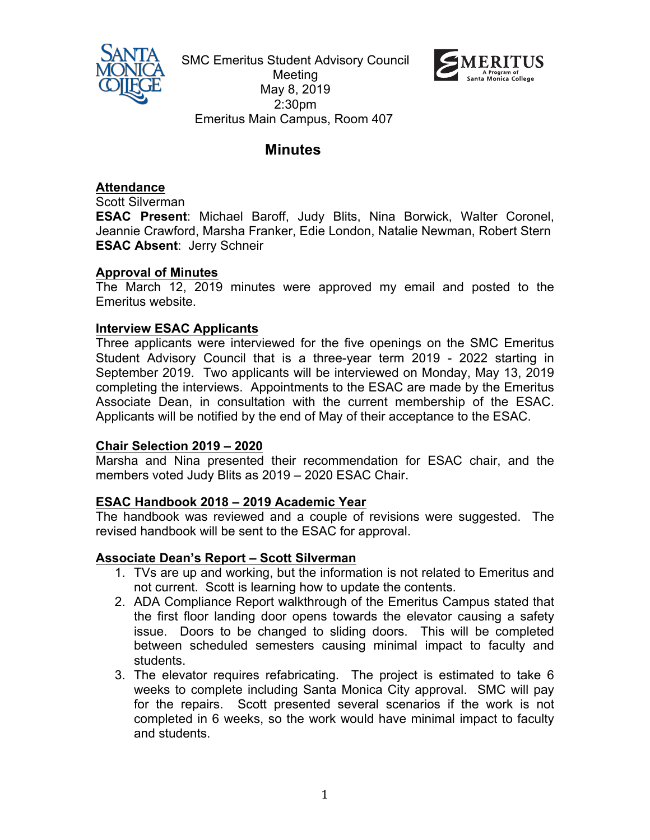

SMC Emeritus Student Advisory Council Meeting May 8, 2019 2:30pm Emeritus Main Campus, Room 407



# **Minutes**

## **Attendance**

Scott Silverman

**ESAC Present**: Michael Baroff, Judy Blits, Nina Borwick, Walter Coronel, Jeannie Crawford, Marsha Franker, Edie London, Natalie Newman, Robert Stern **ESAC Absent**: Jerry Schneir

### **Approval of Minutes**

The March 12, 2019 minutes were approved my email and posted to the Emeritus website.

### **Interview ESAC Applicants**

Three applicants were interviewed for the five openings on the SMC Emeritus Student Advisory Council that is a three-year term 2019 - 2022 starting in September 2019. Two applicants will be interviewed on Monday, May 13, 2019 completing the interviews. Appointments to the ESAC are made by the Emeritus Associate Dean, in consultation with the current membership of the ESAC. Applicants will be notified by the end of May of their acceptance to the ESAC.

# **Chair Selection 2019 – 2020**

Marsha and Nina presented their recommendation for ESAC chair, and the members voted Judy Blits as 2019 – 2020 ESAC Chair.

# **ESAC Handbook 2018 – 2019 Academic Year**

The handbook was reviewed and a couple of revisions were suggested. The revised handbook will be sent to the ESAC for approval.

#### **Associate Dean's Report – Scott Silverman**

- 1. TVs are up and working, but the information is not related to Emeritus and not current. Scott is learning how to update the contents.
- 2. ADA Compliance Report walkthrough of the Emeritus Campus stated that the first floor landing door opens towards the elevator causing a safety issue. Doors to be changed to sliding doors. This will be completed between scheduled semesters causing minimal impact to faculty and students.
- 3. The elevator requires refabricating. The project is estimated to take 6 weeks to complete including Santa Monica City approval. SMC will pay for the repairs. Scott presented several scenarios if the work is not completed in 6 weeks, so the work would have minimal impact to faculty and students.